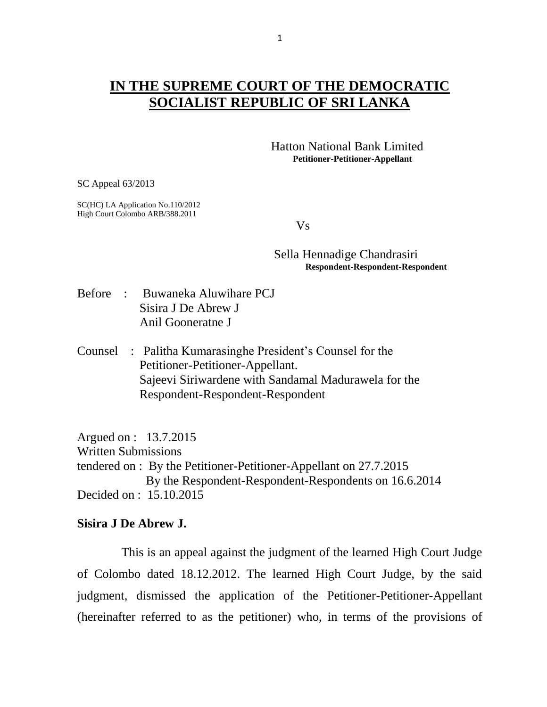## **IN THE SUPREME COURT OF THE DEMOCRATIC SOCIALIST REPUBLIC OF SRI LANKA**

 Hatton National Bank Limited **Petitioner-Petitioner-Appellant**

SC Appeal 63/2013

SC(HC) LA Application No.110/2012 High Court Colombo ARB/388.2011

Vs

## Sella Hennadige Chandrasiri **Respondent-Respondent-Respondent**

- Before : Buwaneka Aluwihare PCJ Sisira J De Abrew J Anil Gooneratne J
- Counsel : Palitha Kumarasinghe President"s Counsel for the Petitioner-Petitioner-Appellant. Sajeevi Siriwardene with Sandamal Madurawela for the Respondent-Respondent-Respondent

Argued on : 13.7.2015 Written Submissions tendered on : By the Petitioner-Petitioner-Appellant on 27.7.2015 By the Respondent-Respondent-Respondents on 16.6.2014 Decided on : 15.10.2015

## **Sisira J De Abrew J.**

This is an appeal against the judgment of the learned High Court Judge of Colombo dated 18.12.2012. The learned High Court Judge, by the said judgment, dismissed the application of the Petitioner-Petitioner-Appellant (hereinafter referred to as the petitioner) who, in terms of the provisions of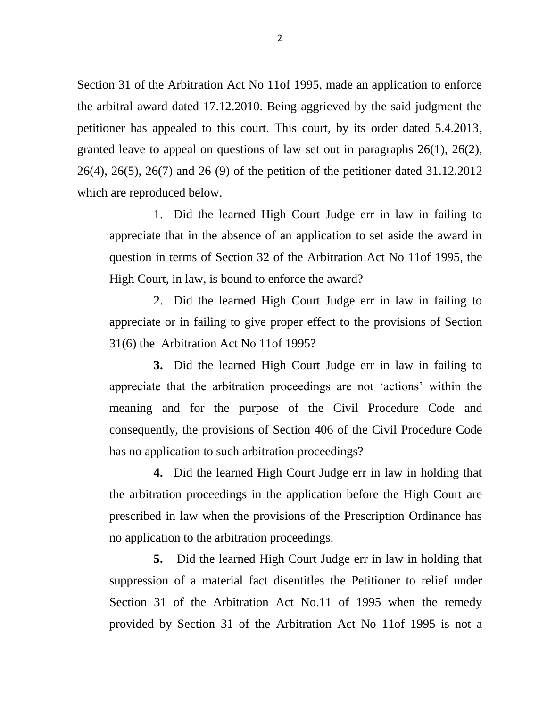Section 31 of the Arbitration Act No 11of 1995, made an application to enforce the arbitral award dated 17.12.2010. Being aggrieved by the said judgment the petitioner has appealed to this court. This court, by its order dated 5.4.2013, granted leave to appeal on questions of law set out in paragraphs 26(1), 26(2), 26(4), 26(5), 26(7) and 26 (9) of the petition of the petitioner dated 31.12.2012 which are reproduced below.

1. Did the learned High Court Judge err in law in failing to appreciate that in the absence of an application to set aside the award in question in terms of Section 32 of the Arbitration Act No 11of 1995, the High Court, in law, is bound to enforce the award?

2. Did the learned High Court Judge err in law in failing to appreciate or in failing to give proper effect to the provisions of Section 31(6) the Arbitration Act No 11of 1995?

**3.** Did the learned High Court Judge err in law in failing to appreciate that the arbitration proceedings are not "actions" within the meaning and for the purpose of the Civil Procedure Code and consequently, the provisions of Section 406 of the Civil Procedure Code has no application to such arbitration proceedings?

**4.** Did the learned High Court Judge err in law in holding that the arbitration proceedings in the application before the High Court are prescribed in law when the provisions of the Prescription Ordinance has no application to the arbitration proceedings.

**5.** Did the learned High Court Judge err in law in holding that suppression of a material fact disentitles the Petitioner to relief under Section 31 of the Arbitration Act No.11 of 1995 when the remedy provided by Section 31 of the Arbitration Act No 11of 1995 is not a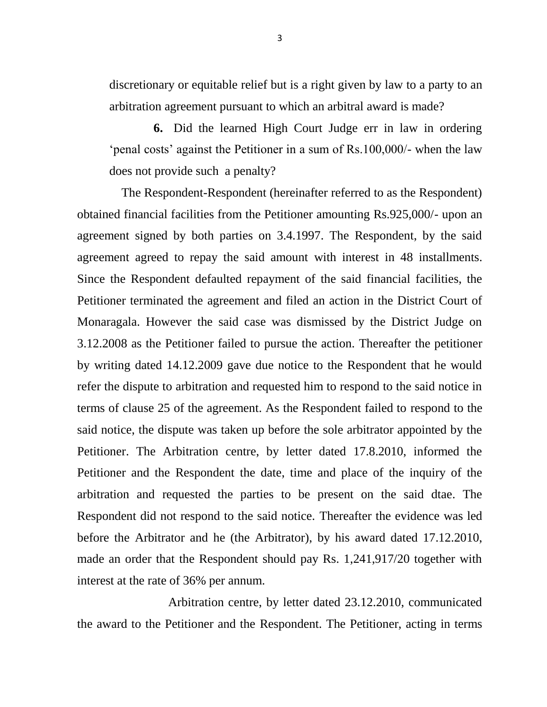discretionary or equitable relief but is a right given by law to a party to an arbitration agreement pursuant to which an arbitral award is made?

**6.** Did the learned High Court Judge err in law in ordering ""penal costs" against the Petitioner in a sum of Rs.100,000/- when the law does not provide such a penalty?

The Respondent-Respondent (hereinafter referred to as the Respondent) obtained financial facilities from the Petitioner amounting Rs.925,000/- upon an agreement signed by both parties on 3.4.1997. The Respondent, by the said agreement agreed to repay the said amount with interest in 48 installments. Since the Respondent defaulted repayment of the said financial facilities, the Petitioner terminated the agreement and filed an action in the District Court of Monaragala. However the said case was dismissed by the District Judge on 3.12.2008 as the Petitioner failed to pursue the action. Thereafter the petitioner by writing dated 14.12.2009 gave due notice to the Respondent that he would refer the dispute to arbitration and requested him to respond to the said notice in terms of clause 25 of the agreement. As the Respondent failed to respond to the said notice, the dispute was taken up before the sole arbitrator appointed by the Petitioner. The Arbitration centre, by letter dated 17.8.2010, informed the Petitioner and the Respondent the date, time and place of the inquiry of the arbitration and requested the parties to be present on the said dtae. The Respondent did not respond to the said notice. Thereafter the evidence was led before the Arbitrator and he (the Arbitrator), by his award dated 17.12.2010, made an order that the Respondent should pay Rs. 1,241,917/20 together with interest at the rate of 36% per annum.

 Arbitration centre, by letter dated 23.12.2010, communicated the award to the Petitioner and the Respondent. The Petitioner, acting in terms

3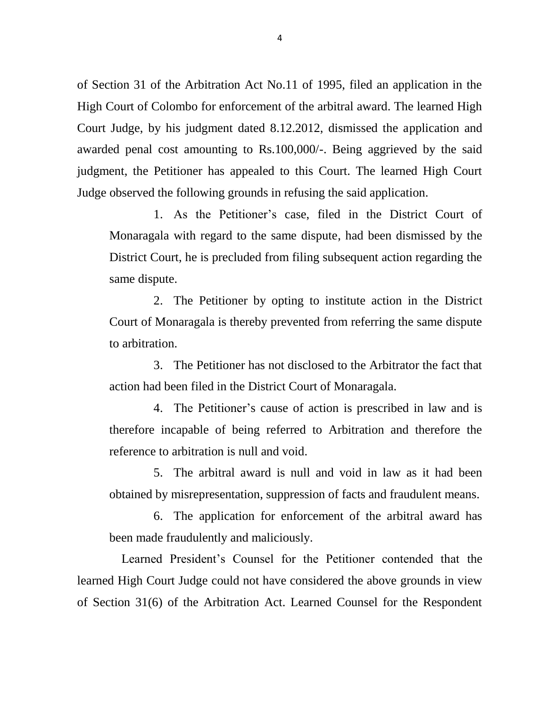of Section 31 of the Arbitration Act No.11 of 1995, filed an application in the High Court of Colombo for enforcement of the arbitral award. The learned High Court Judge, by his judgment dated 8.12.2012, dismissed the application and awarded penal cost amounting to Rs.100,000/-. Being aggrieved by the said judgment, the Petitioner has appealed to this Court. The learned High Court Judge observed the following grounds in refusing the said application.

1. As the Petitioner"s case, filed in the District Court of Monaragala with regard to the same dispute, had been dismissed by the District Court, he is precluded from filing subsequent action regarding the same dispute.

2. The Petitioner by opting to institute action in the District Court of Monaragala is thereby prevented from referring the same dispute to arbitration.

3. The Petitioner has not disclosed to the Arbitrator the fact that action had been filed in the District Court of Monaragala.

4. The Petitioner"s cause of action is prescribed in law and is therefore incapable of being referred to Arbitration and therefore the reference to arbitration is null and void.

5. The arbitral award is null and void in law as it had been obtained by misrepresentation, suppression of facts and fraudulent means.

6. The application for enforcement of the arbitral award has been made fraudulently and maliciously.

Learned President"s Counsel for the Petitioner contended that the learned High Court Judge could not have considered the above grounds in view of Section 31(6) of the Arbitration Act. Learned Counsel for the Respondent

4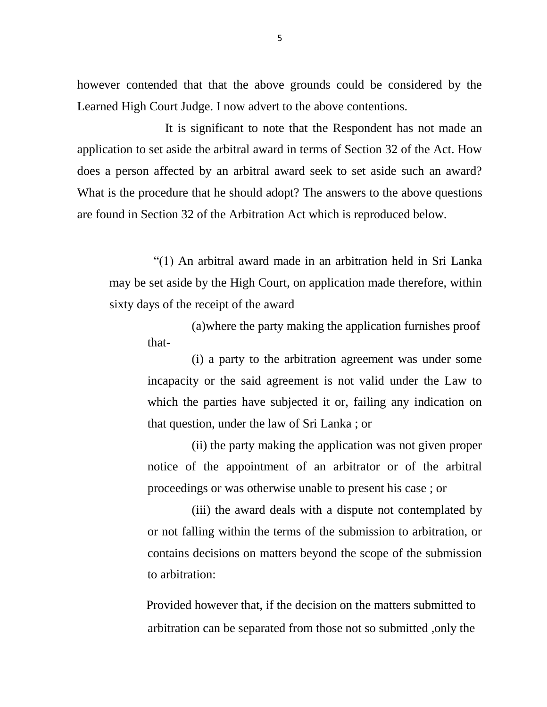however contended that that the above grounds could be considered by the Learned High Court Judge. I now advert to the above contentions.

 It is significant to note that the Respondent has not made an application to set aside the arbitral award in terms of Section 32 of the Act. How does a person affected by an arbitral award seek to set aside such an award? What is the procedure that he should adopt? The answers to the above questions are found in Section 32 of the Arbitration Act which is reproduced below.

"(1) An arbitral award made in an arbitration held in Sri Lanka may be set aside by the High Court, on application made therefore, within sixty days of the receipt of the award

(a)where the party making the application furnishes proof that-

(i) a party to the arbitration agreement was under some incapacity or the said agreement is not valid under the Law to which the parties have subjected it or, failing any indication on that question, under the law of Sri Lanka ; or

(ii) the party making the application was not given proper notice of the appointment of an arbitrator or of the arbitral proceedings or was otherwise unable to present his case ; or

(iii) the award deals with a dispute not contemplated by or not falling within the terms of the submission to arbitration, or contains decisions on matters beyond the scope of the submission to arbitration:

 Provided however that, if the decision on the matters submitted to arbitration can be separated from those not so submitted ,only the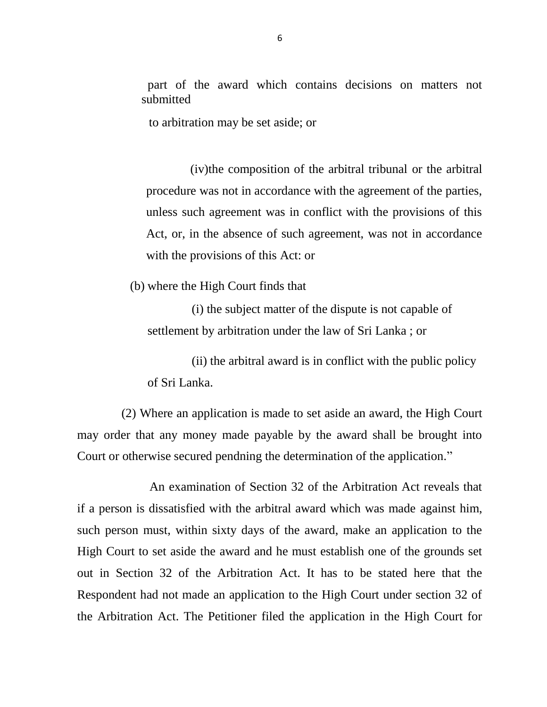part of the award which contains decisions on matters not submitted

to arbitration may be set aside; or

(iv)the composition of the arbitral tribunal or the arbitral procedure was not in accordance with the agreement of the parties, unless such agreement was in conflict with the provisions of this Act, or, in the absence of such agreement, was not in accordance with the provisions of this Act: or

(b) where the High Court finds that

(i) the subject matter of the dispute is not capable of settlement by arbitration under the law of Sri Lanka ; or

(ii) the arbitral award is in conflict with the public policy of Sri Lanka.

(2) Where an application is made to set aside an award, the High Court may order that any money made payable by the award shall be brought into Court or otherwise secured pendning the determination of the application."

 An examination of Section 32 of the Arbitration Act reveals that if a person is dissatisfied with the arbitral award which was made against him, such person must, within sixty days of the award, make an application to the High Court to set aside the award and he must establish one of the grounds set out in Section 32 of the Arbitration Act. It has to be stated here that the Respondent had not made an application to the High Court under section 32 of the Arbitration Act. The Petitioner filed the application in the High Court for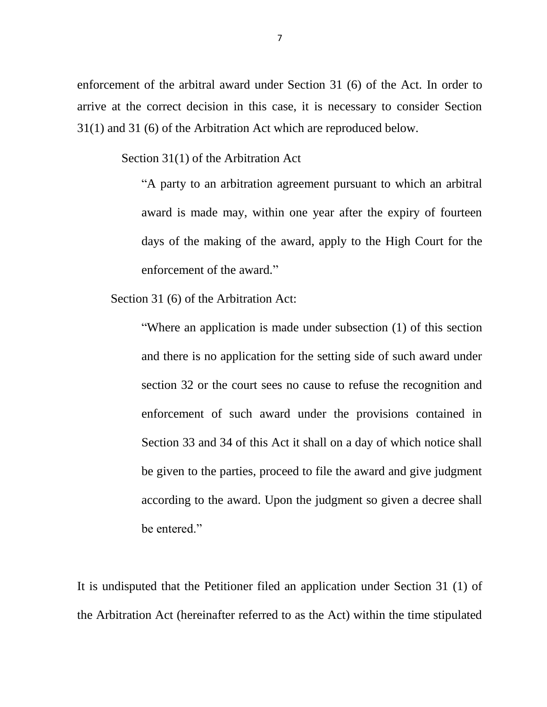enforcement of the arbitral award under Section 31 (6) of the Act. In order to arrive at the correct decision in this case, it is necessary to consider Section 31(1) and 31 (6) of the Arbitration Act which are reproduced below.

Section 31(1) of the Arbitration Act

"A party to an arbitration agreement pursuant to which an arbitral award is made may, within one year after the expiry of fourteen days of the making of the award, apply to the High Court for the enforcement of the award."

Section 31 (6) of the Arbitration Act:

"Where an application is made under subsection (1) of this section and there is no application for the setting side of such award under section 32 or the court sees no cause to refuse the recognition and enforcement of such award under the provisions contained in Section 33 and 34 of this Act it shall on a day of which notice shall be given to the parties, proceed to file the award and give judgment according to the award. Upon the judgment so given a decree shall be entered."

It is undisputed that the Petitioner filed an application under Section 31 (1) of the Arbitration Act (hereinafter referred to as the Act) within the time stipulated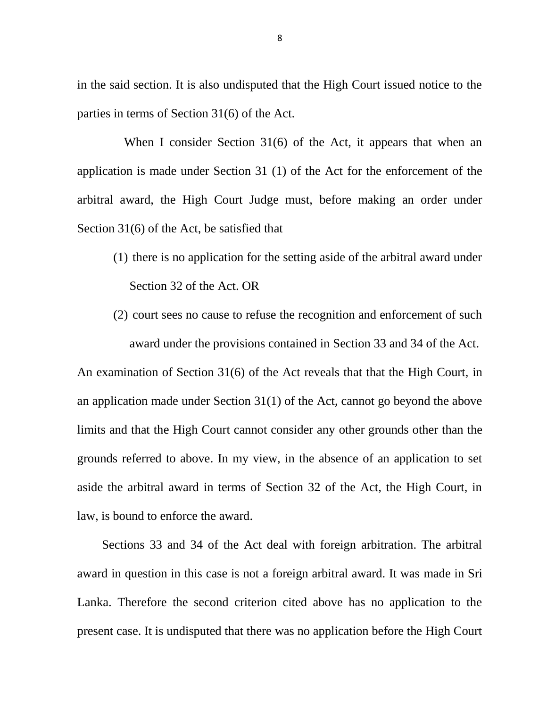in the said section. It is also undisputed that the High Court issued notice to the parties in terms of Section 31(6) of the Act.

When I consider Section 31(6) of the Act, it appears that when an application is made under Section 31 (1) of the Act for the enforcement of the arbitral award, the High Court Judge must, before making an order under Section 31(6) of the Act, be satisfied that

- (1) there is no application for the setting aside of the arbitral award under Section 32 of the Act. OR
- (2) court sees no cause to refuse the recognition and enforcement of such award under the provisions contained in Section 33 and 34 of the Act.

An examination of Section 31(6) of the Act reveals that that the High Court, in an application made under Section 31(1) of the Act, cannot go beyond the above limits and that the High Court cannot consider any other grounds other than the grounds referred to above. In my view, in the absence of an application to set aside the arbitral award in terms of Section 32 of the Act, the High Court, in law, is bound to enforce the award.

 Sections 33 and 34 of the Act deal with foreign arbitration. The arbitral award in question in this case is not a foreign arbitral award. It was made in Sri Lanka. Therefore the second criterion cited above has no application to the present case. It is undisputed that there was no application before the High Court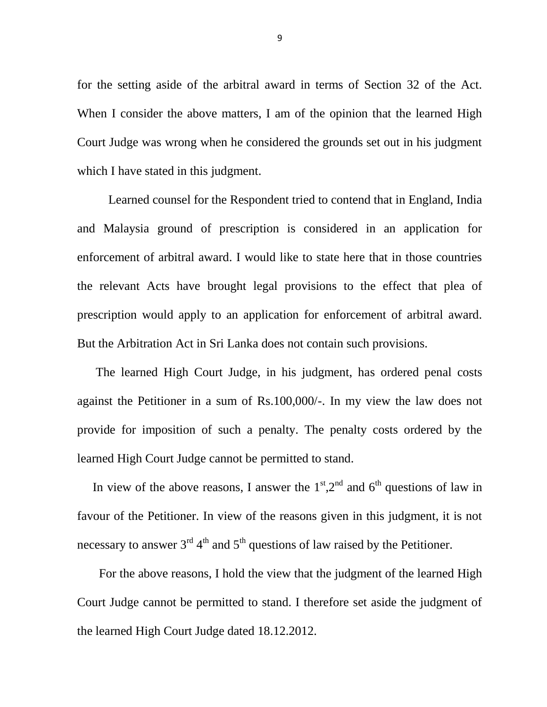for the setting aside of the arbitral award in terms of Section 32 of the Act. When I consider the above matters, I am of the opinion that the learned High Court Judge was wrong when he considered the grounds set out in his judgment which I have stated in this judgment.

 Learned counsel for the Respondent tried to contend that in England, India and Malaysia ground of prescription is considered in an application for enforcement of arbitral award. I would like to state here that in those countries the relevant Acts have brought legal provisions to the effect that plea of prescription would apply to an application for enforcement of arbitral award. But the Arbitration Act in Sri Lanka does not contain such provisions.

 The learned High Court Judge, in his judgment, has ordered penal costs against the Petitioner in a sum of Rs.100,000/-. In my view the law does not provide for imposition of such a penalty. The penalty costs ordered by the learned High Court Judge cannot be permitted to stand.

In view of the above reasons, I answer the  $1<sup>st</sup>$ ,  $2<sup>nd</sup>$  and  $6<sup>th</sup>$  questions of law in favour of the Petitioner. In view of the reasons given in this judgment, it is not necessary to answer  $3^{rd} 4^{th}$  and  $5^{th}$  questions of law raised by the Petitioner.

 For the above reasons, I hold the view that the judgment of the learned High Court Judge cannot be permitted to stand. I therefore set aside the judgment of the learned High Court Judge dated 18.12.2012.

9